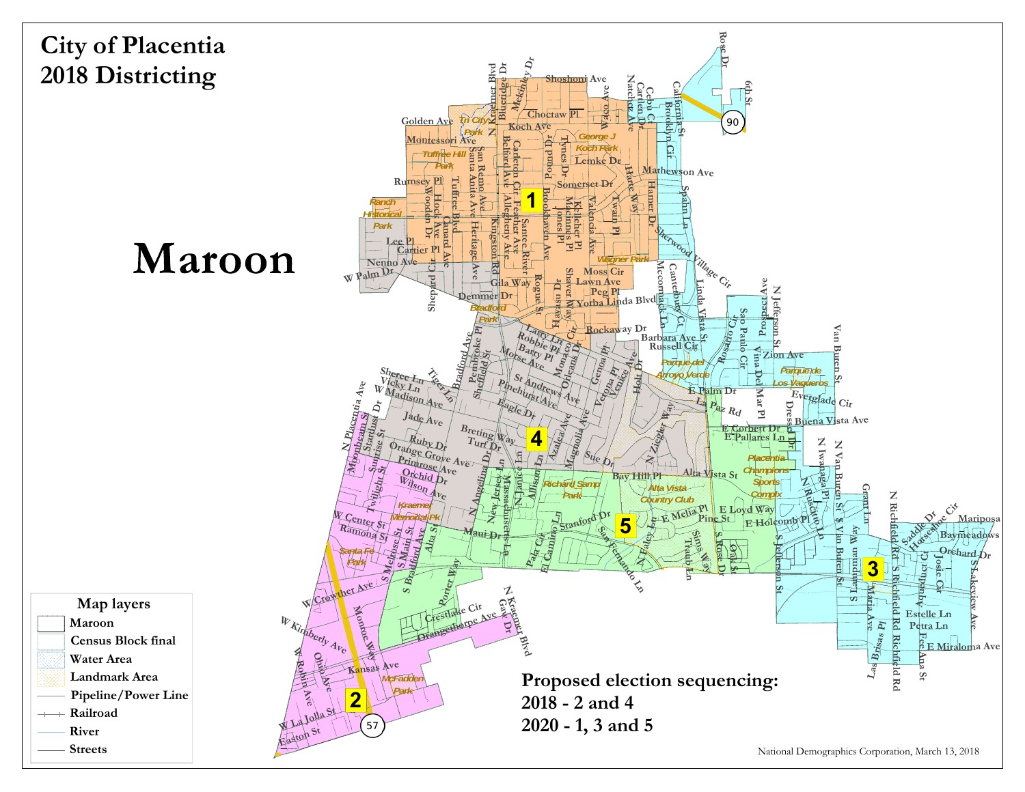